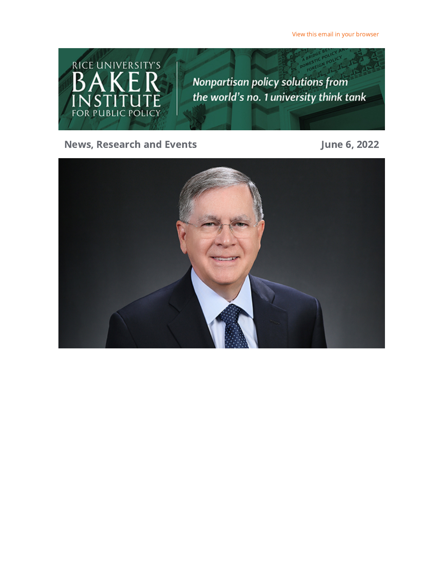View this email in your [browser](https://riceconnect.rice.edu/emailviewonwebpage.aspx?erid=bd7adc62-517e-489b-bcbc-d5ffd36e8e78&trid=bd7adc62-517e-489b-bcbc-d5ffd36e8e78)



### News, Research and Events **Contact Exercise 19 and Events** June 6, 2022

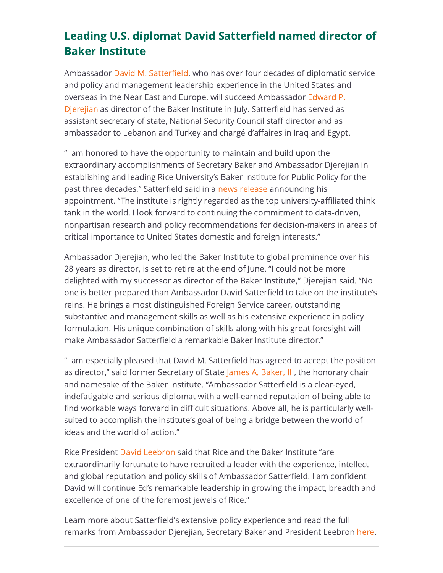# Leading U.S. diplomat David Satterfield named director of Baker Institute

Ambassador David M. [Satterfield,](https://riceconnect.rice.edu/page.redir?target=https%3a%2f%2fwww.state.gov%2fbiographies%2fdavid-m-satterfield%2f&srcid=286864&srctid=1&erid=bd7adc62-517e-489b-bcbc-d5ffd36e8e78&trid=bd7adc62-517e-489b-bcbc-d5ffd36e8e78) who has over four decades of diplomatic service and policy and management leadership experience in the United States and overseas in the Near East and Europe, will succeed [Ambassador](https://riceconnect.rice.edu/page.redir?target=https%3a%2f%2fwww.bakerinstitute.org%2fexperts%2fedward-p-djerejian%2f&srcid=286864&srctid=1&erid=bd7adc62-517e-489b-bcbc-d5ffd36e8e78&trid=bd7adc62-517e-489b-bcbc-d5ffd36e8e78) Edward P. Djerejian as director of the Baker Institute in July. Satterfield has served as assistant secretary of state, National Security Council staff director and as ambassador to Lebanon and Turkey and chargé d'affaires in Iraq and Egypt.

"I am honored to have the opportunity to maintain and build upon the extraordinary accomplishments of Secretary Baker and Ambassador Djerejian in establishing and leading Rice University's Baker Institute for Public Policy for the past three decades," Satterfield said in a news [release](https://riceconnect.rice.edu/page.redir?target=https%3a%2f%2fnews.rice.edu%2fnews%2f2022%2fleading-us-diplomat-david-satterfield-named-director-rices-baker-institute&srcid=286864&srctid=1&erid=bd7adc62-517e-489b-bcbc-d5ffd36e8e78&trid=bd7adc62-517e-489b-bcbc-d5ffd36e8e78) announcing his appointment. "The institute is rightly regarded as the top university-affiliated think tank in the world. I look forward to continuing the commitment to data-driven, nonpartisan research and policy recommendations for decision-makers in areas of critical importance to United States domestic and foreign interests."

Ambassador Djerejian, who led the Baker Institute to global prominence over his 28 years as director, is set to retire at the end of June. "I could not be more delighted with my successor as director of the Baker Institute," Djerejian said. "No one is better prepared than Ambassador David Satterfield to take on the institute's reins. He brings a most distinguished Foreign Service career, outstanding substantive and management skills as well as his extensive experience in policy formulation. His unique combination of skills along with his great foresight will make Ambassador Satterfield a remarkable Baker Institute director."

"I am especially pleased that David M. Satterfield has agreed to accept the position as director," said former Secretary of State James A. [Baker,](https://riceconnect.rice.edu/page.redir?target=https%3a%2f%2fwww.bakerinstitute.org%2fexperts%2fjames-baker-iii%2f&srcid=286864&srctid=1&erid=bd7adc62-517e-489b-bcbc-d5ffd36e8e78&trid=bd7adc62-517e-489b-bcbc-d5ffd36e8e78) III, the honorary chair and namesake of the Baker Institute. "Ambassador Satterfield is a clear-eyed, indefatigable and serious diplomat with a well-earned reputation of being able to find workable ways forward in difficult situations. Above all, he is particularly wellsuited to accomplish the institute's goal of being a bridge between the world of ideas and the world of action."

Rice President David [Leebron](https://riceconnect.rice.edu/page.redir?target=https%3a%2f%2fpresident.rice.edu%2fpresidents-office%2fbio&srcid=286864&srctid=1&erid=bd7adc62-517e-489b-bcbc-d5ffd36e8e78&trid=bd7adc62-517e-489b-bcbc-d5ffd36e8e78) said that Rice and the Baker Institute "are extraordinarily fortunate to have recruited a leader with the experience, intellect and global reputation and policy skills of Ambassador Satterfield. I am confident David will continue Ed's remarkable leadership in growing the impact, breadth and excellence of one of the foremost jewels of Rice."

Learn more about Satterfield's extensive policy experience and read the full remarks from Ambassador Djerejian, Secretary Baker and President Leebron [here](https://riceconnect.rice.edu/page.redir?target=https%3a%2f%2fnews.rice.edu%2fnews%2f2022%2fleading-us-diplomat-david-satterfield-named-director-rices-baker-institute&srcid=286864&srctid=1&erid=bd7adc62-517e-489b-bcbc-d5ffd36e8e78&trid=bd7adc62-517e-489b-bcbc-d5ffd36e8e78).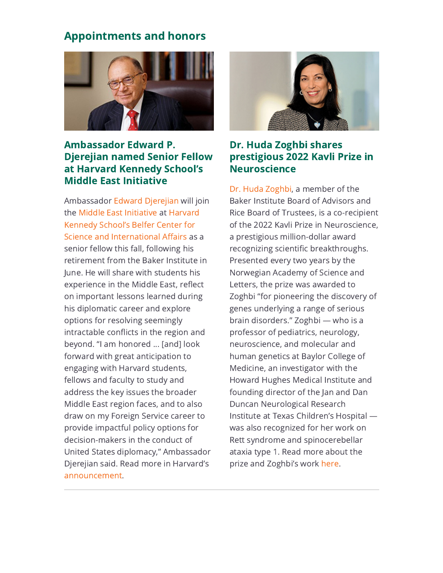## Appointments and honors



### Ambassador Edward P. Djerejian named Senior Fellow at Harvard Kennedy School's Middle East Initiative

Ambassador Edward [Djerejian](https://riceconnect.rice.edu/page.redir?target=https%3a%2f%2fwww.bakerinstitute.org%2fexperts%2fedward-p-djerejian%2f&srcid=286864&srctid=1&erid=bd7adc62-517e-489b-bcbc-d5ffd36e8e78&trid=bd7adc62-517e-489b-bcbc-d5ffd36e8e78) will join the Middle East [Initiative](https://riceconnect.rice.edu/page.redir?target=https%3a%2f%2fwww.belfercenter.org%2fproject%2fmiddle-east-initiative&srcid=286864&srctid=1&erid=bd7adc62-517e-489b-bcbc-d5ffd36e8e78&trid=bd7adc62-517e-489b-bcbc-d5ffd36e8e78) at Harvard Kennedy School's Belfer Center for Science and [International](https://riceconnect.rice.edu/page.redir?target=https%3a%2f%2fwww.belfercenter.org%2f&srcid=286864&srctid=1&erid=bd7adc62-517e-489b-bcbc-d5ffd36e8e78&trid=bd7adc62-517e-489b-bcbc-d5ffd36e8e78) Affairs as a senior fellow this fall, following his retirement from the Baker Institute in June. He will share with students his experience in the Middle East, reflect on important lessons learned during his diplomatic career and explore options for resolving seemingly intractable conflicts in the region and beyond. "I am honored ... [and] look forward with great anticipation to engaging with Harvard students, fellows and faculty to study and address the key issues the broader Middle East region faces, and to also draw on my Foreign Service career to provide impactful policy options for decision-makers in the conduct of United States diplomacy," Ambassador Djerejian said. Read more in Harvard's [announcement.](https://riceconnect.rice.edu/page.redir?target=https%3a%2f%2fview.comms.hks.harvard.edu%2f%3fqs%3dd0993577f0defa64534569c9f073b9ad583d7ba3063b52236257d08509ca9c47e5289bf28f02e127ba140ccf3c329d63bf6e54a69873263a6e8fd2d32427634c30a516915e4f06d897a4ad7edb770cf1&srcid=286864&srctid=1&erid=bd7adc62-517e-489b-bcbc-d5ffd36e8e78&trid=bd7adc62-517e-489b-bcbc-d5ffd36e8e78)



### Dr. Huda Zoghbi shares prestigious 2022 Kavli Prize in **Neuroscience**

Dr. Huda [Zoghbi](https://riceconnect.rice.edu/page.redir?target=https%3a%2f%2fwww.bcm.edu%2fpeople-search%2fhuda-zoghbi-33774&srcid=286864&srctid=1&erid=bd7adc62-517e-489b-bcbc-d5ffd36e8e78&trid=bd7adc62-517e-489b-bcbc-d5ffd36e8e78), a member of the Baker Institute Board of Advisors and Rice Board of Trustees, is a co-recipient of the 2022 Kavli Prize in Neuroscience, a prestigious million-dollar award recognizing scientific breakthroughs. Presented every two years by the Norwegian Academy of Science and Letters, the prize was awarded to Zoghbi "for pioneering the discovery of genes underlying a range of serious brain disorders." Zoghbi — who is a professor of pediatrics, neurology, neuroscience, and molecular and human genetics at Baylor College of Medicine, an investigator with the Howard Hughes Medical Institute and founding director of the Jan and Dan Duncan Neurological Research Institute at Texas Children's Hospital was also recognized for her work on Rett syndrome and spinocerebellar ataxia type 1. Read more about the prize and Zoghbi's work [here.](https://riceconnect.rice.edu/page.redir?target=https%3a%2f%2fnews.rice.edu%2fnews%2f2022%2fzoghbi-shares-prestigious-2022-kavli-prize-neuroscience&srcid=286864&srctid=1&erid=bd7adc62-517e-489b-bcbc-d5ffd36e8e78&trid=bd7adc62-517e-489b-bcbc-d5ffd36e8e78)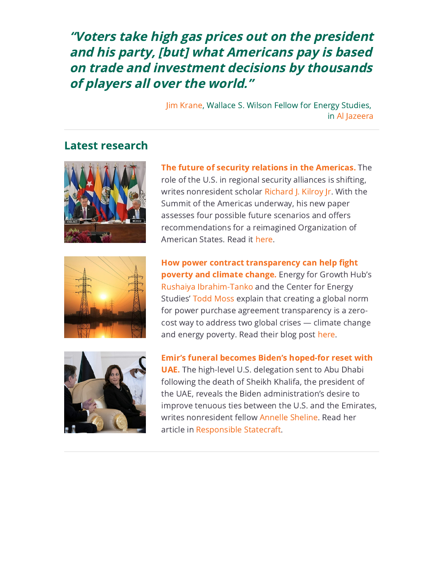"Voters take high gas prices out on the president and his party, [but] what Americans pay is based on trade and investment decisions by thousands of players all over the world."

> Jim [Krane](https://riceconnect.rice.edu/page.redir?target=https%3a%2f%2fwww.bakerinstitute.org%2fexperts%2fjim-krane%2f&srcid=286864&srctid=1&erid=bd7adc62-517e-489b-bcbc-d5ffd36e8e78&trid=bd7adc62-517e-489b-bcbc-d5ffd36e8e78), Wallace S. Wilson Fellow for Energy Studies, in Al [Jazeera](https://riceconnect.rice.edu/page.redir?target=https%3a%2f%2fwww.aljazeera.com%2feconomy%2f2022%2f5%2f27%2fdespite-record-petrol-prices-americans-are-hitting-the-road&srcid=286864&srctid=1&erid=bd7adc62-517e-489b-bcbc-d5ffd36e8e78&trid=bd7adc62-517e-489b-bcbc-d5ffd36e8e78)

#### Latest research





The future of security relations in the [Americas.](https://riceconnect.rice.edu/page.redir?target=https%3a%2f%2fwww.bakerinstitute.org%2ffiles%2f18369%2f&srcid=286864&srctid=1&erid=bd7adc62-517e-489b-bcbc-d5ffd36e8e78&trid=bd7adc62-517e-489b-bcbc-d5ffd36e8e78) The role of the U.S. in regional security alliances is shifting, writes nonresident scholar [Richard](https://riceconnect.rice.edu/page.redir?target=https%3a%2f%2fwww.bakerinstitute.org%2fexperts%2frichard-j-kilroy-jr%2f&srcid=286864&srctid=1&erid=bd7adc62-517e-489b-bcbc-d5ffd36e8e78&trid=bd7adc62-517e-489b-bcbc-d5ffd36e8e78) J. Kilroy Jr. With the Summit of the Americas underway, his new paper assesses four possible future scenarios and offers recommendations for a reimagined Organization of American States. Read it [here](https://riceconnect.rice.edu/page.redir?target=https%3a%2f%2fwww.bakerinstitute.org%2ffiles%2f18369%2f&srcid=286864&srctid=1&erid=bd7adc62-517e-489b-bcbc-d5ffd36e8e78&trid=bd7adc62-517e-489b-bcbc-d5ffd36e8e78).

How power contract [transparency](https://riceconnect.rice.edu/page.redir?target=https%3a%2f%2fblog.bakerinstitute.org%2f2022%2f06%2f01%2fhow-power-contract-transparency-can-help-fight-poverty-and-climate-change%2f&srcid=286864&srctid=1&erid=bd7adc62-517e-489b-bcbc-d5ffd36e8e78&trid=bd7adc62-517e-489b-bcbc-d5ffd36e8e78) can help fight poverty and climate change. Energy for Growth Hub's Rushaiya [Ibrahim-Tanko](https://riceconnect.rice.edu/page.redir?target=https%3a%2f%2fwww.energyforgrowth.org%2fus%2frushaiya-ibrahim-tanko%2f%23scrollbackhere&srcid=286864&srctid=1&erid=bd7adc62-517e-489b-bcbc-d5ffd36e8e78&trid=bd7adc62-517e-489b-bcbc-d5ffd36e8e78) and the Center for Energy Studies' Todd [Moss](https://riceconnect.rice.edu/page.redir?target=https%3a%2f%2fwww.bakerinstitute.org%2fexperts%2ftodd-moss%2f&srcid=286864&srctid=1&erid=bd7adc62-517e-489b-bcbc-d5ffd36e8e78&trid=bd7adc62-517e-489b-bcbc-d5ffd36e8e78) explain that creating a global norm for power purchase agreement transparency is a zerocost way to address two global crises — climate change and energy poverty. Read their blog post [here](https://riceconnect.rice.edu/page.redir?target=https%3a%2f%2fblog.bakerinstitute.org%2f2022%2f06%2f01%2fhow-power-contract-transparency-can-help-fight-poverty-and-climate-change%2f&srcid=286864&srctid=1&erid=bd7adc62-517e-489b-bcbc-d5ffd36e8e78&trid=bd7adc62-517e-489b-bcbc-d5ffd36e8e78).



Emir's funeral becomes Biden's [hoped-for](https://riceconnect.rice.edu/page.redir?target=https%3a%2f%2fresponsiblestatecraft.org%2f2022%2f05%2f17%2femirs-funeral-becomes-bidens-hoped-for-reset-with-uae%2f&srcid=286864&srctid=1&erid=bd7adc62-517e-489b-bcbc-d5ffd36e8e78&trid=bd7adc62-517e-489b-bcbc-d5ffd36e8e78) reset with UAE. The high-level U.S. delegation sent to Abu Dhabi following the death of Sheikh Khalifa, the president of the UAE, reveals the Biden administration's desire to improve tenuous ties between the U.S. and the Emirates, writes nonresident fellow [Annelle](https://riceconnect.rice.edu/page.redir?target=https%3a%2f%2fwww.bakerinstitute.org%2fexperts%2fannelle-sheline%2f&srcid=286864&srctid=1&erid=bd7adc62-517e-489b-bcbc-d5ffd36e8e78&trid=bd7adc62-517e-489b-bcbc-d5ffd36e8e78) Sheline. Read her article in [Responsible](https://riceconnect.rice.edu/page.redir?target=https%3a%2f%2fresponsiblestatecraft.org%2f2022%2f05%2f17%2femirs-funeral-becomes-bidens-hoped-for-reset-with-uae%2f&srcid=286864&srctid=1&erid=bd7adc62-517e-489b-bcbc-d5ffd36e8e78&trid=bd7adc62-517e-489b-bcbc-d5ffd36e8e78) Statecraft.